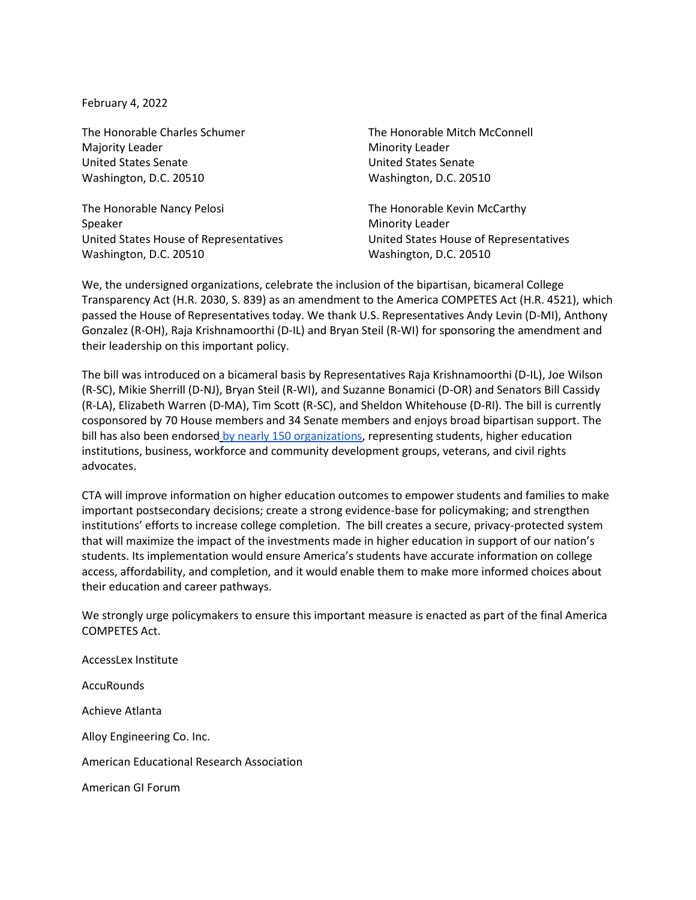February 4, 2022

The Honorable Charles Schumer Majority Leader United States Senate Washington, D.C. 20510

The Honorable Nancy Pelosi Speaker United States House of Representatives Washington, D.C. 20510

The Honorable Mitch McConnell Minority Leader United States Senate Washington, D.C. 20510

The Honorable Kevin McCarthy Minority Leader United States House of Representatives Washington, D.C. 20510

We, the undersigned organizations, celebrate the inclusion of the bipartisan, bicameral College Transparency Act (H.R. 2030, S. 839) as an amendment to the America COMPETES Act (H.R. 4521), which passed the House of Representatives today. We thank U.S. Representatives Andy Levin (D-MI), Anthony Gonzalez (R-OH), Raja Krishnamoorthi (D-IL) and Bryan Steil (R-WI) for sponsoring the amendment and their leadership on this important policy.

The bill was introduced on a bicameral basis by Representatives Raja Krishnamoorthi (D-IL), Joe Wilson (R-SC), Mikie Sherrill (D-NJ), Bryan Steil (R-WI), and Suzanne Bonamici (D-OR) and Senators Bill Cassidy (R-LA), Elizabeth Warren (D-MA), Tim Scott (R-SC), and Sheldon Whitehouse (D-RI). The bill is currently cosponsored by 70 House members and 34 Senate members and enjoys broad bipartisan support. The bill has also been endorsed [by nearly 150 organizations,](https://www.ihep.org/press/college-transparency-act-2021-support/) representing students, higher education institutions, business, workforce and community development groups, veterans, and civil rights advocates.

CTA will improve information on higher education outcomes to empower students and families to make important postsecondary decisions; create a strong evidence-base for policymaking; and strengthen institutions' efforts to increase college completion. The bill creates a secure, privacy-protected system that will maximize the impact of the investments made in higher education in support of our nation's students. Its implementation would ensure America's students have accurate information on college access, affordability, and completion, and it would enable them to make more informed choices about their education and career pathways.

We strongly urge policymakers to ensure this important measure is enacted as part of the final America COMPETES Act.

AccessLex Institute **AccuRounds** Achieve Atlanta Alloy Engineering Co. Inc. American Educational Research Association American GI Forum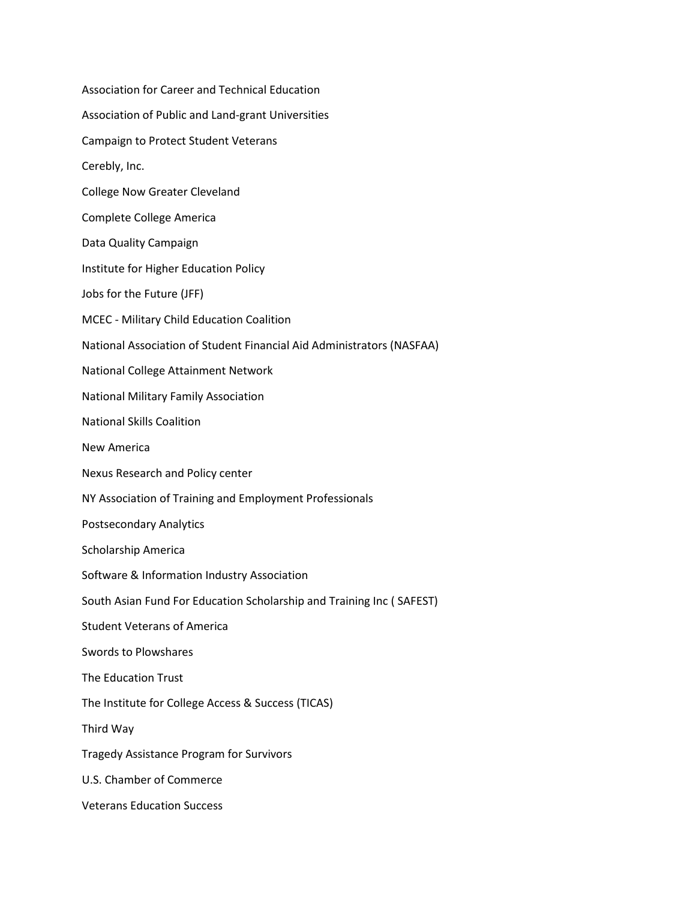Association for Career and Technical Education Association of Public and Land-grant Universities Campaign to Protect Student Veterans Cerebly, Inc. College Now Greater Cleveland Complete College America Data Quality Campaign Institute for Higher Education Policy Jobs for the Future (JFF) MCEC - Military Child Education Coalition National Association of Student Financial Aid Administrators (NASFAA) National College Attainment Network National Military Family Association National Skills Coalition New America Nexus Research and Policy center NY Association of Training and Employment Professionals Postsecondary Analytics Scholarship America Software & Information Industry Association South Asian Fund For Education Scholarship and Training Inc ( SAFEST) Student Veterans of America Swords to Plowshares The Education Trust The Institute for College Access & Success (TICAS) Third Way Tragedy Assistance Program for Survivors U.S. Chamber of Commerce Veterans Education Success